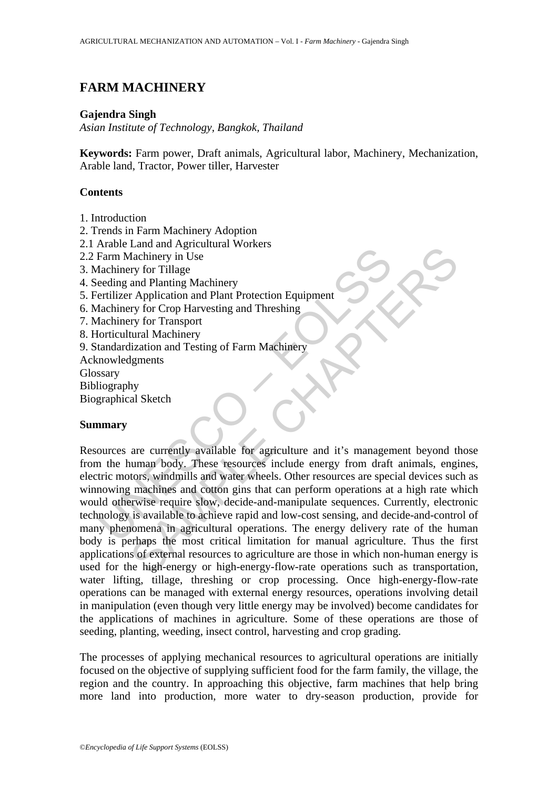# **FARM MACHINERY**

#### **Gajendra Singh**

*Asian Institute of Technology, Bangkok, Thailand* 

**Keywords:** Farm power, Draft animals, Agricultural labor, Machinery, Mechanization, Arable land, Tractor, Power tiller, Harvester

## **Contents**

- 1. Introduction
- 2. Trends in Farm Machinery Adoption
- 2.1 Arable Land and Agricultural Workers
- 2.2 Farm Machinery in Use
- 3. Machinery for Tillage
- 4. Seeding and Planting Machinery
- 5. Fertilizer Application and Plant Protection Equipment
- 6. Machinery for Crop Harvesting and Threshing
- 7. Machinery for Transport
- 8. Horticultural Machinery
- 9. Standardization and Testing of Farm Machinery
- Acknowledgments
- **Glossary**
- Bibliography

Biographical Sketch

### **Summary**

Farm Machinery in Use<br>
Farm Machinery in Use<br>
Team Machinery for Tillage<br>
dachinery for Chop Harvesting and Threshing<br>
fachinery for Chop Harvesting and Threshing<br>
dachinery for Chaptor<br>
dachinery for Transport<br>
doriceultu Land an expectance<br>
and Planting Machinery<br>
and Planting Machinery<br>
and Planting Machinery<br>
ry for Crop Harvesting and Threshing<br>
ry for Crop Harvesting and Threshing<br>
ry for Crop Harvesting and Threshing<br>
lignents<br>
and Ma Resources are currently available for agriculture and it's management beyond those from the human body. These resources include energy from draft animals, engines, electric motors, windmills and water wheels. Other resources are special devices such as winnowing machines and cotton gins that can perform operations at a high rate which would otherwise require slow, decide-and-manipulate sequences. Currently, electronic technology is available to achieve rapid and low-cost sensing, and decide-and-control of many phenomena in agricultural operations. The energy delivery rate of the human body is perhaps the most critical limitation for manual agriculture. Thus the first applications of external resources to agriculture are those in which non-human energy is used for the high-energy or high-energy-flow-rate operations such as transportation, water lifting, tillage, threshing or crop processing. Once high-energy-flow-rate operations can be managed with external energy resources, operations involving detail in manipulation (even though very little energy may be involved) become candidates for the applications of machines in agriculture. Some of these operations are those of seeding, planting, weeding, insect control, harvesting and crop grading.

The processes of applying mechanical resources to agricultural operations are initially focused on the objective of supplying sufficient food for the farm family, the village, the region and the country. In approaching this objective, farm machines that help bring more land into production, more water to dry-season production, provide for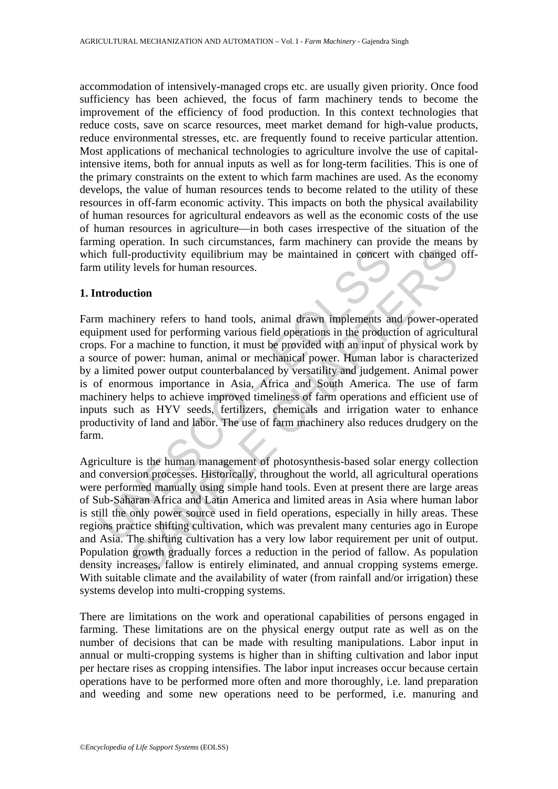accommodation of intensively-managed crops etc. are usually given priority. Once food sufficiency has been achieved, the focus of farm machinery tends to become the improvement of the efficiency of food production. In this context technologies that reduce costs, save on scarce resources, meet market demand for high-value products, reduce environmental stresses, etc. are frequently found to receive particular attention. Most applications of mechanical technologies to agriculture involve the use of capitalintensive items, both for annual inputs as well as for long-term facilities. This is one of the primary constraints on the extent to which farm machines are used. As the economy develops, the value of human resources tends to become related to the utility of these resources in off-farm economic activity. This impacts on both the physical availability of human resources for agricultural endeavors as well as the economic costs of the use of human resources in agriculture—in both cases irrespective of the situation of the farming operation. In such circumstances, farm machinery can provide the means by which full-productivity equilibrium may be maintained in concert with changed offfarm utility levels for human resources.

### **1. Introduction**

chip and the same of photographs and the same of Alia<br>
Alia (The Schip and Theorem Alia (Alia (Theorem and the Schip and the Schip and the Schip and the Schipton and the production<br>
In machinery refers to hand tools, anima Productivity equilibrium may be maintained in concert with changed<br>vertical expects for human resources.<br> **Command** the concert with changed<br>
vertical of performing various field operations in the production of a<br>gricult a Farm machinery refers to hand tools, animal drawn implements and power-operated equipment used for performing various field operations in the production of agricultural crops. For a machine to function, it must be provided with an input of physical work by a source of power: human, animal or mechanical power. Human labor is characterized by a limited power output counterbalanced by versatility and judgement. Animal power is of enormous importance in Asia, Africa and South America. The use of farm machinery helps to achieve improved timeliness of farm operations and efficient use of inputs such as HYV seeds, fertilizers, chemicals and irrigation water to enhance productivity of land and labor. The use of farm machinery also reduces drudgery on the farm.

Agriculture is the human management of photosynthesis-based solar energy collection and conversion processes. Historically, throughout the world, all agricultural operations were performed manually using simple hand tools. Even at present there are large areas of Sub-Saharan Africa and Latin America and limited areas in Asia where human labor is still the only power source used in field operations, especially in hilly areas. These regions practice shifting cultivation, which was prevalent many centuries ago in Europe and Asia. The shifting cultivation has a very low labor requirement per unit of output. Population growth gradually forces a reduction in the period of fallow. As population density increases, fallow is entirely eliminated, and annual cropping systems emerge. With suitable climate and the availability of water (from rainfall and/or irrigation) these systems develop into multi-cropping systems.

There are limitations on the work and operational capabilities of persons engaged in farming. These limitations are on the physical energy output rate as well as on the number of decisions that can be made with resulting manipulations. Labor input in annual or multi-cropping systems is higher than in shifting cultivation and labor input per hectare rises as cropping intensifies. The labor input increases occur because certain operations have to be performed more often and more thoroughly, i.e. land preparation and weeding and some new operations need to be performed, i.e. manuring and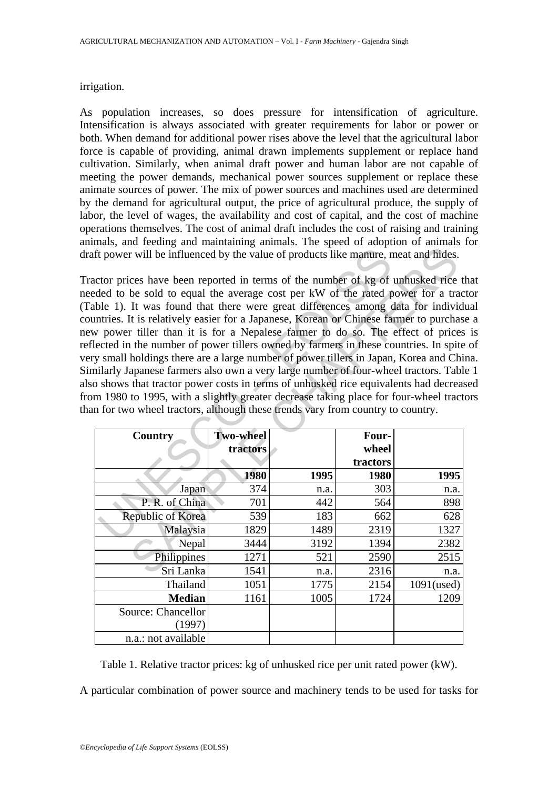### irrigation.

As population increases, so does pressure for intensification of agriculture. Intensification is always associated with greater requirements for labor or power or both. When demand for additional power rises above the level that the agricultural labor force is capable of providing, animal drawn implements supplement or replace hand cultivation. Similarly, when animal draft power and human labor are not capable of meeting the power demands, mechanical power sources supplement or replace these animate sources of power. The mix of power sources and machines used are determined by the demand for agricultural output, the price of agricultural produce, the supply of labor, the level of wages, the availability and cost of capital, and the cost of machine operations themselves. The cost of animal draft includes the cost of raising and training animals, and feeding and maintaining animals. The speed of adoption of animals for draft power will be influenced by the value of products like manure, meat and hides.

The state of the value of products like manure, and<br>the power will be influenced by the value of products like manure, net<br>or prices have been reported in terms of the number of kg of<br>ble 1). It was found that there were g Tractor prices have been reported in terms of the number of kg of unhusked rice that needed to be sold to equal the average cost per kW of the rated power for a tractor (Table 1). It was found that there were great differences among data for individual countries. It is relatively easier for a Japanese, Korean or Chinese farmer to purchase a new power tiller than it is for a Nepalese farmer to do so. The effect of prices is reflected in the number of power tillers owned by farmers in these countries. In spite of very small holdings there are a large number of power tillers in Japan, Korea and China. Similarly Japanese farmers also own a very large number of four-wheel tractors. Table 1 also shows that tractor power costs in terms of unhusked rice equivalents had decreased from 1980 to 1995, with a slightly greater decrease taking place for four-wheel tractors than for two wheel tractors, although these trends vary from country to country.

| ft power will be influenced by the value of products like manure, meat and hides.                                                                                                                                                                                                                                                                                                                                                                                                                                                                                                                                                                                                                                                                                                                                                                                                                                                                              |                  |      |          |               |  |  |
|----------------------------------------------------------------------------------------------------------------------------------------------------------------------------------------------------------------------------------------------------------------------------------------------------------------------------------------------------------------------------------------------------------------------------------------------------------------------------------------------------------------------------------------------------------------------------------------------------------------------------------------------------------------------------------------------------------------------------------------------------------------------------------------------------------------------------------------------------------------------------------------------------------------------------------------------------------------|------------------|------|----------|---------------|--|--|
| actor prices have been reported in terms of the number of kg of unhusked rice t<br>eded to be sold to equal the average cost per kW of the rated power for a trac<br>able 1). It was found that there were great differences among data for individ<br>intries. It is relatively easier for a Japanese, Korean or Chinese farmer to purchas<br>w power tiller than it is for a Nepalese farmer to do so. The effect of prices<br>lected in the number of power tillers owned by farmers in these countries. In spite<br>y small holdings there are a large number of power tillers in Japan, Korea and Chi<br>nilarly Japanese farmers also own a very large number of four-wheel tractors. Tabl<br>o shows that tractor power costs in terms of unhusked rice equivalents had decreas<br>m 1980 to 1995, with a slightly greater decrease taking place for four-wheel tract<br>in for two wheel tractors, although these trends vary from country to country. |                  |      |          |               |  |  |
| <b>Country</b>                                                                                                                                                                                                                                                                                                                                                                                                                                                                                                                                                                                                                                                                                                                                                                                                                                                                                                                                                 | <b>Two-wheel</b> |      | Four-    |               |  |  |
|                                                                                                                                                                                                                                                                                                                                                                                                                                                                                                                                                                                                                                                                                                                                                                                                                                                                                                                                                                | tractors         |      | wheel    |               |  |  |
|                                                                                                                                                                                                                                                                                                                                                                                                                                                                                                                                                                                                                                                                                                                                                                                                                                                                                                                                                                |                  |      | tractors |               |  |  |
|                                                                                                                                                                                                                                                                                                                                                                                                                                                                                                                                                                                                                                                                                                                                                                                                                                                                                                                                                                |                  |      |          |               |  |  |
|                                                                                                                                                                                                                                                                                                                                                                                                                                                                                                                                                                                                                                                                                                                                                                                                                                                                                                                                                                | 1980             | 1995 | 1980     | 1995          |  |  |
| Japan                                                                                                                                                                                                                                                                                                                                                                                                                                                                                                                                                                                                                                                                                                                                                                                                                                                                                                                                                          | 374              | n.a. | 303      | n.a.          |  |  |
| P. R. of China                                                                                                                                                                                                                                                                                                                                                                                                                                                                                                                                                                                                                                                                                                                                                                                                                                                                                                                                                 | 701              | 442  | 564      | 898           |  |  |
| Republic of Korea                                                                                                                                                                                                                                                                                                                                                                                                                                                                                                                                                                                                                                                                                                                                                                                                                                                                                                                                              | 539              | 183  | 662      | 628           |  |  |
| Malaysia                                                                                                                                                                                                                                                                                                                                                                                                                                                                                                                                                                                                                                                                                                                                                                                                                                                                                                                                                       | 1829             | 1489 | 2319     | 1327          |  |  |
| Nepal                                                                                                                                                                                                                                                                                                                                                                                                                                                                                                                                                                                                                                                                                                                                                                                                                                                                                                                                                          | 3444             | 3192 | 1394     | 2382          |  |  |
| Philippines                                                                                                                                                                                                                                                                                                                                                                                                                                                                                                                                                                                                                                                                                                                                                                                                                                                                                                                                                    | 1271             | 521  | 2590     | 2515          |  |  |
| Sri Lanka                                                                                                                                                                                                                                                                                                                                                                                                                                                                                                                                                                                                                                                                                                                                                                                                                                                                                                                                                      | 1541             | n.a. | 2316     | n.a.          |  |  |
| Thailand                                                                                                                                                                                                                                                                                                                                                                                                                                                                                                                                                                                                                                                                                                                                                                                                                                                                                                                                                       | 1051             | 1775 | 2154     | $1091$ (used) |  |  |
| <b>Median</b>                                                                                                                                                                                                                                                                                                                                                                                                                                                                                                                                                                                                                                                                                                                                                                                                                                                                                                                                                  | 1161             | 1005 | 1724     | 1209          |  |  |
| Source: Chancellor                                                                                                                                                                                                                                                                                                                                                                                                                                                                                                                                                                                                                                                                                                                                                                                                                                                                                                                                             |                  |      |          |               |  |  |
| (1997)                                                                                                                                                                                                                                                                                                                                                                                                                                                                                                                                                                                                                                                                                                                                                                                                                                                                                                                                                         |                  |      |          |               |  |  |

Table 1. Relative tractor prices: kg of unhusked rice per unit rated power (kW).

A particular combination of power source and machinery tends to be used for tasks for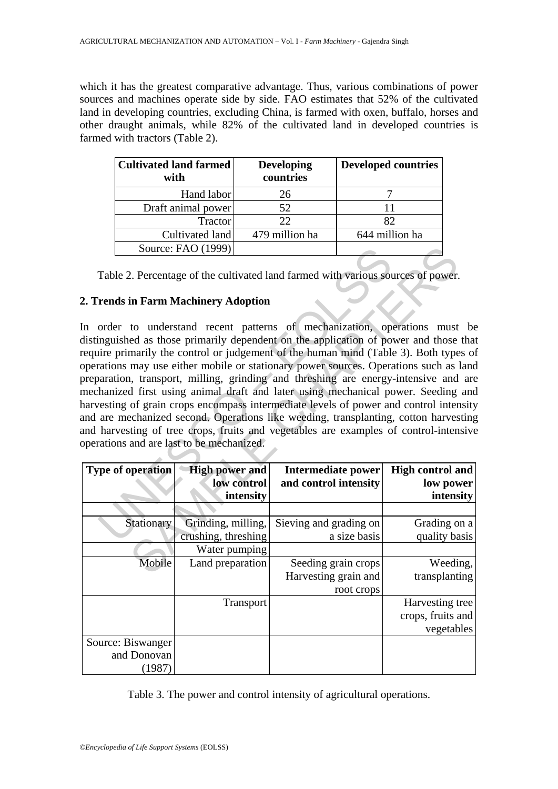which it has the greatest comparative advantage. Thus, various combinations of power sources and machines operate side by side. FAO estimates that 52% of the cultivated land in developing countries, excluding China, is farmed with oxen, buffalo, horses and other draught animals, while 82% of the cultivated land in developed countries is farmed with tractors (Table 2).

| <b>Cultivated land farmed</b><br>with | <b>Developing</b><br>countries | <b>Developed countries</b> |
|---------------------------------------|--------------------------------|----------------------------|
| Hand labor                            | 26                             |                            |
| Draft animal power                    | 52                             |                            |
| Tractor                               | 22.                            | 82                         |
| Cultivated land                       | 479 million ha                 | 644 million ha             |
| Source: FAO (1999)                    |                                |                            |

Table 2. Percentage of the cultivated land farmed with various sources of power.

## **2. Trends in Farm Machinery Adoption**

Source: FAO (1999) <br>
Table 2. Percentage of the cultivated land farmed with various sources.<br>
Tends in Farm Machinery Adoption<br>
order to understand recent patterns of mechanization, open<br>
impushed as those primarily depend Source: FAO (1999) <br>
2. Percentage of the cultivated land farmed with various sources of power.<br>
in Farm Machinery Adoption<br>
to understand recent patterns of mechanization, operations must<br>
ed as those primarily dependent In order to understand recent patterns of mechanization, operations must be distinguished as those primarily dependent on the application of power and those that require primarily the control or judgement of the human mind (Table 3). Both types of operations may use either mobile or stationary power sources. Operations such as land preparation, transport, milling, grinding and threshing are energy-intensive and are mechanized first using animal draft and later using mechanical power. Seeding and harvesting of grain crops encompass intermediate levels of power and control intensity and are mechanized second. Operations like weeding, transplanting, cotton harvesting and harvesting of tree crops, fruits and vegetables are examples of control-intensive operations and are last to be mechanized.

| <b>Type of operation</b> | <b>High power and</b><br>low control<br>intensity | Intermediate power<br>and control intensity | <b>High control and</b><br>low power<br>intensity |
|--------------------------|---------------------------------------------------|---------------------------------------------|---------------------------------------------------|
|                          |                                                   |                                             |                                                   |
| Stationary               | Grinding, milling,                                | Sieving and grading on                      | Grading on a                                      |
|                          | crushing, threshing                               | a size basis                                | quality basis                                     |
|                          | Water pumping                                     |                                             |                                                   |
| Mobile                   | Land preparation                                  | Seeding grain crops                         | Weeding,                                          |
|                          |                                                   | Harvesting grain and                        | transplanting                                     |
|                          |                                                   | root crops                                  |                                                   |
|                          | <b>Transport</b>                                  |                                             | Harvesting tree                                   |
|                          |                                                   |                                             | crops, fruits and                                 |
|                          |                                                   |                                             | vegetables                                        |
| Source: Biswanger        |                                                   |                                             |                                                   |
| and Donovan              |                                                   |                                             |                                                   |
| (1987)                   |                                                   |                                             |                                                   |

Table 3. The power and control intensity of agricultural operations.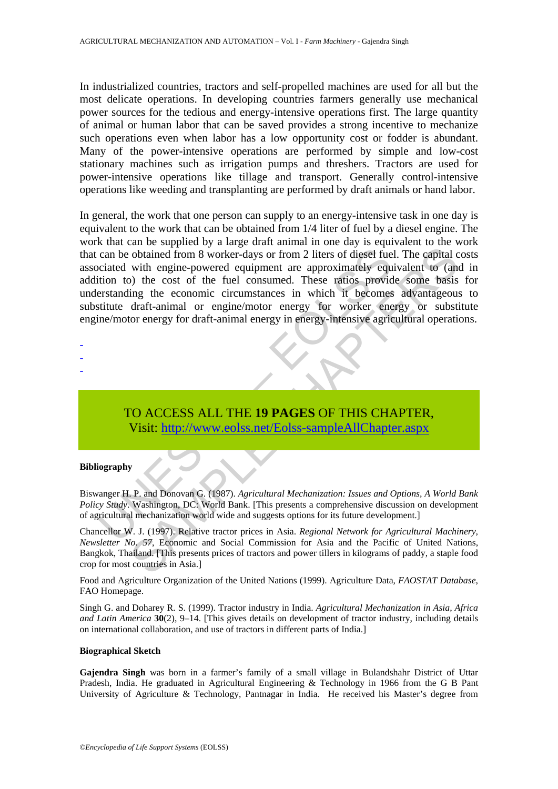In industrialized countries, tractors and self-propelled machines are used for all but the most delicate operations. In developing countries farmers generally use mechanical power sources for the tedious and energy-intensive operations first. The large quantity of animal or human labor that can be saved provides a strong incentive to mechanize such operations even when labor has a low opportunity cost or fodder is abundant. Many of the power-intensive operations are performed by simple and low-cost stationary machines such as irrigation pumps and threshers. Tractors are used for power-intensive operations like tillage and transport. Generally control-intensive operations like weeding and transplanting are performed by draft animals or hand labor.

can be obtained from 8 worker-days or from 2 liters of diesel fue<br>ciciated with engine-powered equipment are approximately equ<br>tition to) the cost of the fuel consumed. These ratios providers<br>tanding the economic circumsta obtained from 8 worker-days or from 2 liters of diesel fuel. The capital<br>
with engine-powered equipment are approximately equivalent to (an<br>
obtained from 8 worker-days or from 2 liters ratios provide some basis<br>
ing the c In general, the work that one person can supply to an energy-intensive task in one day is equivalent to the work that can be obtained from 1/4 liter of fuel by a diesel engine. The work that can be supplied by a large draft animal in one day is equivalent to the work that can be obtained from 8 worker-days or from 2 liters of diesel fuel. The capital costs associated with engine-powered equipment are approximately equivalent to (and in addition to) the cost of the fuel consumed. These ratios provide some basis for understanding the economic circumstances in which it becomes advantageous to substitute draft-animal or engine/motor energy for worker energy or substitute engine/motor energy for draft-animal energy in energy-intensive agricultural operations.

- -
- -
- -

# TO ACCESS ALL THE **19 PAGES** OF THIS CHAPTER, Visit: http://www.eolss.net/Eolss-sampleAllChapter.aspx

#### **Bibliography**

Biswanger H. P. and Donovan G. (1987). *Agricultural Mechanization: Issues and Options, A World Bank Policy Study*. Washington, DC: World Bank. [This presents a comprehensive discussion on development of agricultural mechanization world wide and suggests options for its future development.]

Chancellor W. J. (1997). Relative tractor prices in Asia. *Regional Network for Agricultural Machinery, Newsletter No. 57*, Economic and Social Commission for Asia and the Pacific of United Nations, Bangkok, Thailand. [This presents prices of tractors and power tillers in kilograms of paddy, a staple food crop for most countries in Asia.]

Food and Agriculture Organization of the United Nations (1999). Agriculture Data, *FAOSTAT Database*, FAO Homepage.

Singh G. and Doharey R. S. (1999). Tractor industry in India. *Agricultural Mechanization in Asia, Africa and Latin America* **30**(2), 9–14. [This gives details on development of tractor industry, including details on international collaboration, and use of tractors in different parts of India.]

#### **Biographical Sketch**

**Gajendra Singh** was born in a farmer's family of a small village in Bulandshahr District of Uttar Pradesh, India. He graduated in Agricultural Engineering & Technology in 1966 from the G B Pant University of Agriculture & Technology, Pantnagar in India. He received his Master's degree from